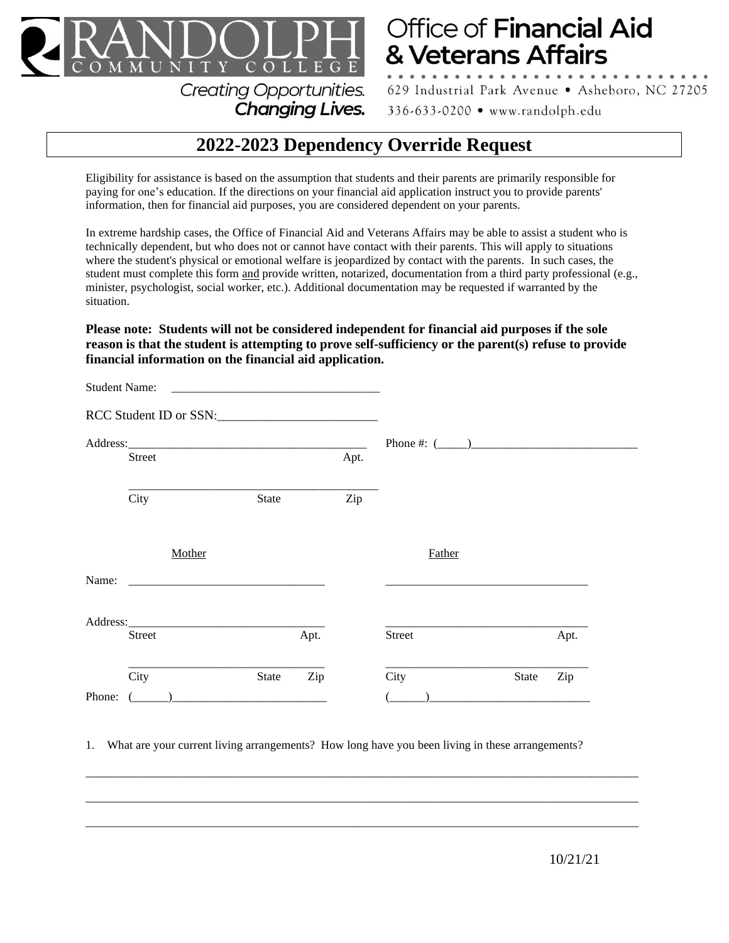

## Office of Financial Aid & Veterans Affairs

629 Industrial Park Avenue · Asheboro, NC 27205

336-633-0200 • www.randolph.edu

## **2022-2023 Dependency Override Request**

Eligibility for assistance is based on the assumption that students and their parents are primarily responsible for paying for one's education. If the directions on your financial aid application instruct you to provide parents' information, then for financial aid purposes, you are considered dependent on your parents.

Changing Lives.

In extreme hardship cases, the Office of Financial Aid and Veterans Affairs may be able to assist a student who is technically dependent, but who does not or cannot have contact with their parents. This will apply to situations where the student's physical or emotional welfare is jeopardized by contact with the parents. In such cases, the student must complete this form and provide written, notarized, documentation from a third party professional (e.g., minister, psychologist, social worker, etc.). Additional documentation may be requested if warranted by the situation.

**Please note: Students will not be considered independent for financial aid purposes if the sole reason is that the student is attempting to prove self-sufficiency or the parent(s) refuse to provide financial information on the financial aid application.**

| <b>Student Name:</b><br><u> 1980 - Jan Samuel Barbara, martin d</u> |                                       |              |      |      |                   |              |      |  |
|---------------------------------------------------------------------|---------------------------------------|--------------|------|------|-------------------|--------------|------|--|
| RCC Student ID or SSN:                                              |                                       |              |      |      |                   |              |      |  |
|                                                                     |                                       |              |      |      | Phone #: $(\_\_)$ |              |      |  |
|                                                                     | Street                                |              |      | Apt. |                   |              |      |  |
|                                                                     | City                                  | State        |      | Zip  |                   |              |      |  |
|                                                                     | Mother                                |              |      |      | Father            |              |      |  |
| Name:                                                               |                                       |              |      |      |                   |              |      |  |
|                                                                     | Address: <u>Address</u> and the anti- |              |      |      |                   |              |      |  |
|                                                                     | Street                                |              | Apt. |      | <b>Street</b>     |              | Apt. |  |
|                                                                     | City                                  | <b>State</b> | Zip  |      | City              | <b>State</b> | Zip  |  |
| Phone:                                                              | (                                     |              |      |      |                   |              |      |  |

1. What are your current living arrangements? How long have you been living in these arrangements?

\_\_\_\_\_\_\_\_\_\_\_\_\_\_\_\_\_\_\_\_\_\_\_\_\_\_\_\_\_\_\_\_\_\_\_\_\_\_\_\_\_\_\_\_\_\_\_\_\_\_\_\_\_\_\_\_\_\_\_\_\_\_\_\_\_\_\_\_\_\_\_\_\_\_\_\_\_\_\_\_\_\_\_\_\_\_\_\_\_\_\_\_\_

 $\_$  ,  $\_$  ,  $\_$  ,  $\_$  ,  $\_$  ,  $\_$  ,  $\_$  ,  $\_$  ,  $\_$  ,  $\_$  ,  $\_$  ,  $\_$  ,  $\_$  ,  $\_$  ,  $\_$  ,  $\_$  ,  $\_$  ,  $\_$  ,  $\_$  ,  $\_$  ,  $\_$  ,  $\_$  ,  $\_$  ,  $\_$  ,  $\_$  ,  $\_$  ,  $\_$  ,  $\_$  ,  $\_$  ,  $\_$  ,  $\_$  ,  $\_$  ,  $\_$  ,  $\_$  ,  $\_$  ,  $\_$  ,  $\_$  ,

 $\_$  ,  $\_$  ,  $\_$  ,  $\_$  ,  $\_$  ,  $\_$  ,  $\_$  ,  $\_$  ,  $\_$  ,  $\_$  ,  $\_$  ,  $\_$  ,  $\_$  ,  $\_$  ,  $\_$  ,  $\_$  ,  $\_$  ,  $\_$  ,  $\_$  ,  $\_$  ,  $\_$  ,  $\_$  ,  $\_$  ,  $\_$  ,  $\_$  ,  $\_$  ,  $\_$  ,  $\_$  ,  $\_$  ,  $\_$  ,  $\_$  ,  $\_$  ,  $\_$  ,  $\_$  ,  $\_$  ,  $\_$  ,  $\_$  ,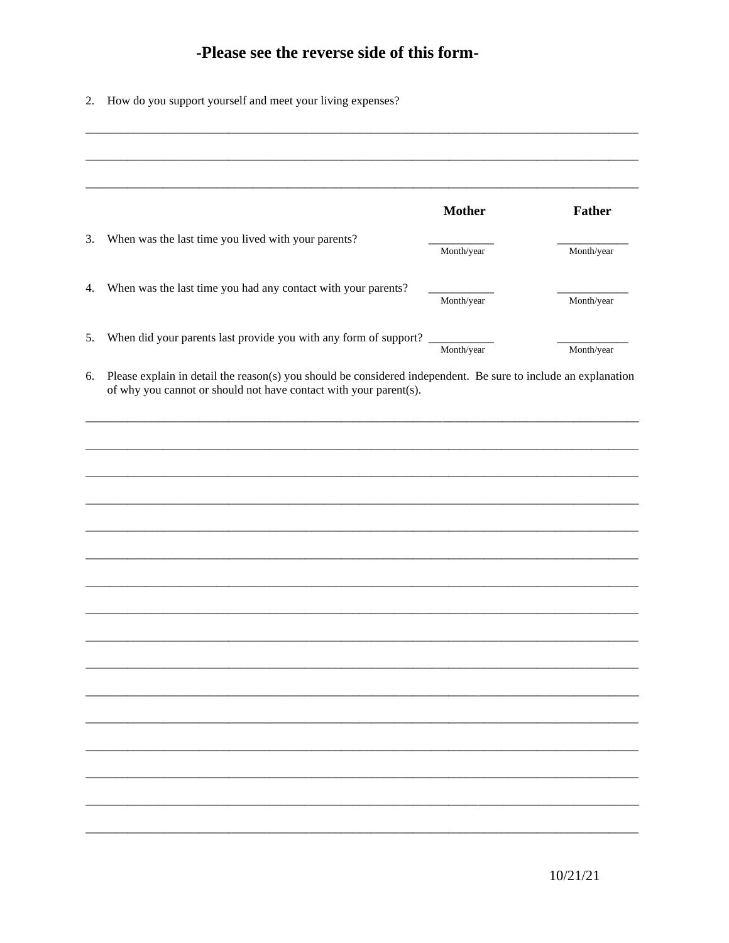## -Please see the reverse side of this form-

|  |  | 2. How do you support yourself and meet your living expenses? |
|--|--|---------------------------------------------------------------|
|  |  |                                                               |

|                                                                   | <b>Mother</b> | Father     |
|-------------------------------------------------------------------|---------------|------------|
| When was the last time you lived with your parents?               |               |            |
|                                                                   | Month/year    | Month/year |
| When was the last time you had any contact with your parents?     | Month/year    | Month/year |
|                                                                   |               |            |
| When did your parents last provide you with any form of support?  | Month/year    | Month/year |
| of why you cannot or should not have contact with your parent(s). |               |            |
|                                                                   |               |            |
|                                                                   |               |            |
|                                                                   |               |            |
|                                                                   |               |            |
|                                                                   |               |            |
|                                                                   |               |            |
|                                                                   |               |            |
|                                                                   |               |            |
|                                                                   |               |            |
|                                                                   |               |            |
|                                                                   |               |            |
|                                                                   |               |            |
|                                                                   |               |            |
|                                                                   |               |            |